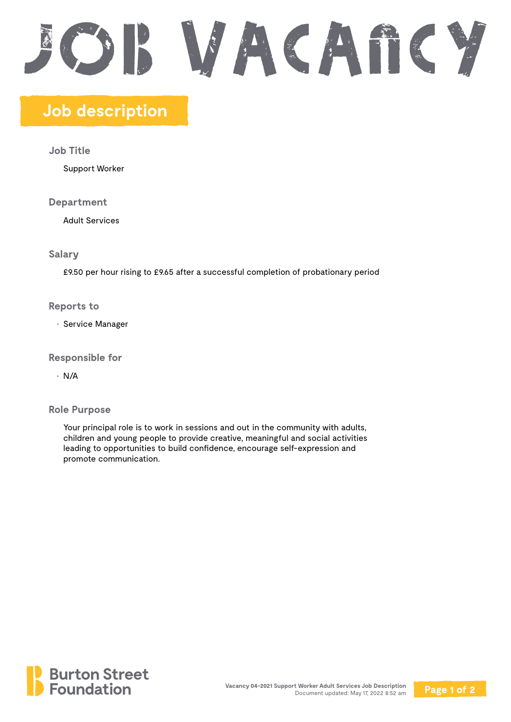# SWACATICY

## **Job description**

**Job Title**

Support Worker

**Department**

Adult Services

**Salary**

£9.50 per hour rising to £9.65 after a successful completion of probationary period

**Reports to**

• Service Manager

**Responsible for**

• N/A

**Role Purpose**

Your principal role is to work in sessions and out in the community with adults, children and young people to provide creative, meaningful and social activities leading to opportunities to build confidence, encourage self-expression and promote communication.